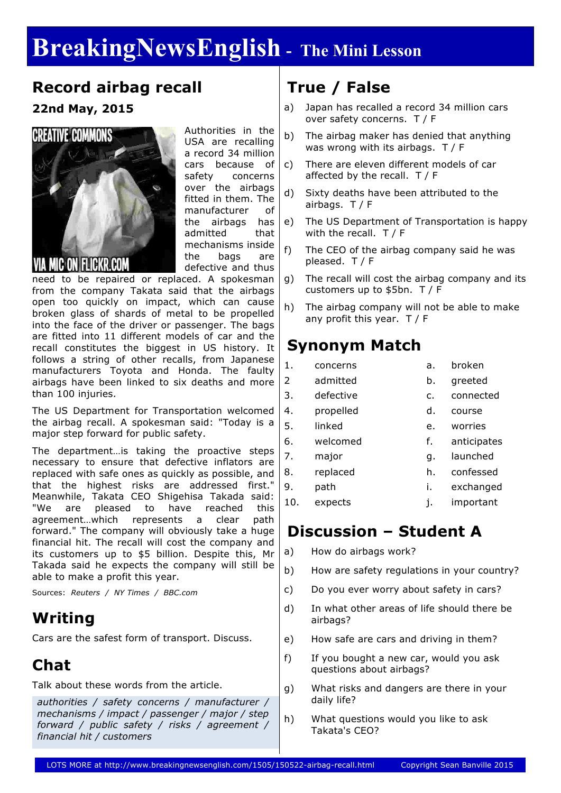# **BreakingNewsEnglish - The Mini Lesson**

#### **Record airbag recall**

**22nd May, 2015**



Authorities in the USA are recalling a record 34 million cars because of safety concerns over the airbags fitted in them. The manufacturer of the airbags has admitted that mechanisms inside the bags are defective and thus

need to be repaired or replaced. A spokesman from the company Takata said that the airbags open too quickly on impact, which can cause broken glass of shards of metal to be propelled into the face of the driver or passenger. The bags are fitted into 11 different models of car and the recall constitutes the biggest in US history. It follows a string of other recalls, from Japanese manufacturers Toyota and Honda. The faulty airbags have been linked to six deaths and more than 100 injuries.

The US Department for Transportation welcomed the airbag recall. A spokesman said: "Today is a major step forward for public safety.

The department…is taking the proactive steps necessary to ensure that defective inflators are replaced with safe ones as quickly as possible, and that the highest risks are addressed first." Meanwhile, Takata CEO Shigehisa Takada said: "We are pleased to have reached this agreement…which represents a clear path forward." The company will obviously take a huge financial hit. The recall will cost the company and its customers up to \$5 billion. Despite this, Mr Takada said he expects the company will still be able to make a profit this year.

Sources: *Reuters / NY Times / BBC.com*

### **Writing**

Cars are the safest form of transport. Discuss.

### **Chat**

Talk about these words from the article.

*authorities / safety concerns / manufacturer / mechanisms / impact / passenger / major / step forward / public safety / risks / agreement / financial hit / customers*

## **True / False**

- a) Japan has recalled a record 34 million cars over safety concerns. T / F
- b) The airbag maker has denied that anything was wrong with its airbags. T / F
- c) There are eleven different models of car affected by the recall. T / F
- d) Sixty deaths have been attributed to the airbags.  $T / F$
- e) The US Department of Transportation is happy with the recall. T / F
- f) The CEO of the airbag company said he was pleased. T / F
- g) The recall will cost the airbag company and its customers up to \$5bn. T / F
- h) The airbag company will not be able to make any profit this year. T / F

### **Synonym Match**

- 1. concerns a. broken
- 2 admitted b. greeted 3. defective c. connected 4. propelled d. course 5. linked e. worries 6. welcomed f. anticipates 7. major g. launched 8. replaced h. confessed 9. path i. exchanged
- 10. expects j. important

### **Discussion – Student A**

- a) How do airbags work?
- b) How are safety regulations in your country?
- c) Do you ever worry about safety in cars?
- d) In what other areas of life should there be airbags?
- e) How safe are cars and driving in them?
- f) If you bought a new car, would you ask questions about airbags?
- g) What risks and dangers are there in your daily life?
- h) What questions would you like to ask Takata's CEO?